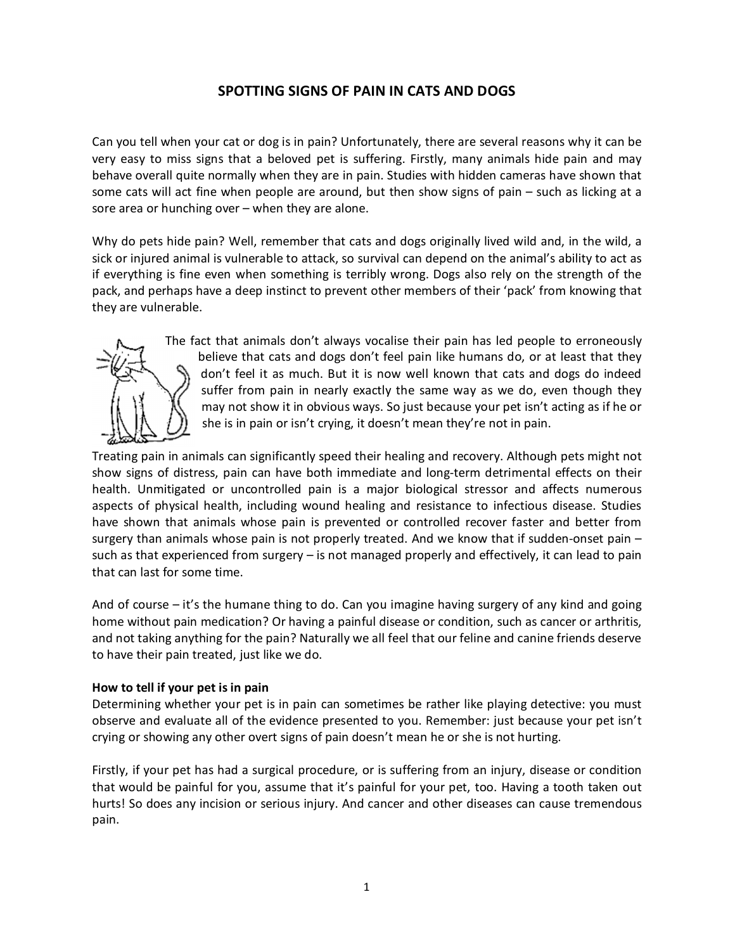## **SPOTTING SIGNS OF PAIN IN CATS AND DOGS**

Can you tell when your cat or dog is in pain? Unfortunately, there are several reasons why it can be very easy to miss signs that a beloved pet is suffering. Firstly, many animals hide pain and may behave overall quite normally when they are in pain. Studies with hidden cameras have shown that some cats will act fine when people are around, but then show signs of pain – such as licking at a sore area or hunching over – when they are alone.

Why do pets hide pain? Well, remember that cats and dogs originally lived wild and, in the wild, a sick or injured animal is vulnerable to attack, so survival can depend on the animal's ability to act as if everything is fine even when something is terribly wrong. Dogs also rely on the strength of the pack, and perhaps have a deep instinct to prevent other members of their 'pack' from knowing that they are vulnerable.



The fact that animals don't always vocalise their pain has led people to erroneously believe that cats and dogs don't feel pain like humans do, or at least that they don't feel it as much. But it is now well known that cats and dogs do indeed suffer from pain in nearly exactly the same way as we do, even though they may not show it in obvious ways. So just because your pet isn't acting as if he or she is in pain or isn't crying, it doesn't mean they're not in pain.

Treating pain in animals can significantly speed their healing and recovery. Although pets might not show signs of distress, pain can have both immediate and long-term detrimental effects on their health. Unmitigated or uncontrolled pain is a major biological stressor and affects numerous aspects of physical health, including wound healing and resistance to infectious disease. Studies have shown that animals whose pain is prevented or controlled recover faster and better from surgery than animals whose pain is not properly treated. And we know that if sudden-onset pain – such as that experienced from surgery – is not managed properly and effectively, it can lead to pain that can last for some time.

And of course – it's the humane thing to do. Can you imagine having surgery of any kind and going home without pain medication? Or having a painful disease or condition, such as cancer or arthritis, and not taking anything for the pain? Naturally we all feel that our feline and canine friends deserve to have their pain treated, just like we do.

## **How to tell if your pet is in pain**

Determining whether your pet is in pain can sometimes be rather like playing detective: you must observe and evaluate all of the evidence presented to you. Remember: just because your pet isn't crying or showing any other overt signs of pain doesn't mean he or she is not hurting.

Firstly, if your pet has had a surgical procedure, or is suffering from an injury, disease or condition that would be painful for you, assume that it's painful for your pet, too. Having a tooth taken out hurts! So does any incision or serious injury. And cancer and other diseases can cause tremendous pain.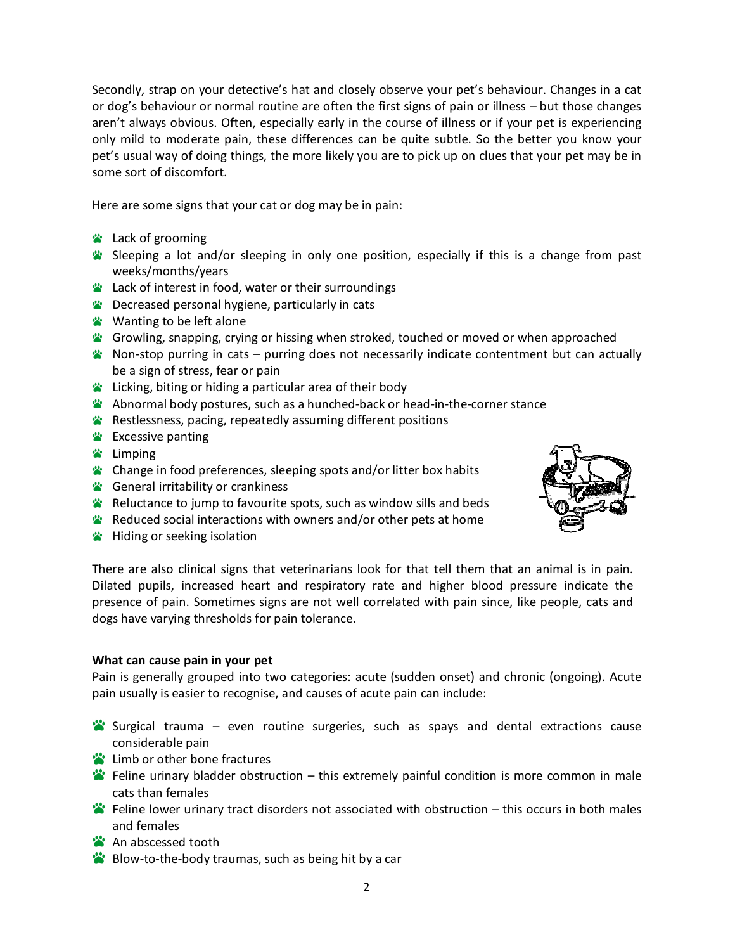Secondly, strap on your detective's hat and closely observe your pet's behaviour. Changes in a cat or dog's behaviour or normal routine are often the first signs of pain or illness – but those changes aren't always obvious. Often, especially early in the course of illness or if your pet is experiencing only mild to moderate pain, these differences can be quite subtle. So the better you know your pet's usual way of doing things, the more likely you are to pick up on clues that your pet may be in some sort of discomfort.

Here are some signs that your cat or dog may be in pain:

- **EX** Lack of grooming
- Sleeping a lot and/or sleeping in only one position, especially if this is a change from past weeks/months/years
- **EX** Lack of interest in food, water or their surroundings
- **EX** Decreased personal hygiene, particularly in cats
- **Wanting to be left alone**
- Growling, snapping, crying or hissing when stroked, touched or moved or when approached
- $\bullet$  Non-stop purring in cats purring does not necessarily indicate contentment but can actually be a sign of stress, fear or pain
- **EX** Licking, biting or hiding a particular area of their body
- Abnormal body postures, such as a hunched-back or head-in-the-corner stance
- **\*** Restlessness, pacing, repeatedly assuming different positions
- **\*** Excessive panting
- <del>■</del> Limping
- Change in food preferences, sleeping spots and/or litter box habits
- General irritability or crankiness
- Reluctance to jump to favourite spots, such as window sills and beds
- Reduced social interactions with owners and/or other pets at home
- **W** Hiding or seeking isolation

There are also clinical signs that veterinarians look for that tell them that an animal is in pain. Dilated pupils, increased heart and respiratory rate and higher blood pressure indicate the presence of pain. Sometimes signs are not well correlated with pain since, like people, cats and dogs have varying thresholds for pain tolerance.

## **What can cause pain in your pet**

Pain is generally grouped into two categories: acute (sudden onset) and chronic (ongoing). Acute pain usually is easier to recognise, and causes of acute pain can include:

- Surgical trauma even routine surgeries, such as spays and dental extractions cause considerable pain
- **Example 1** Limb or other bone fractures
- $\ddot{\bullet}$  Feline urinary bladder obstruction this extremely painful condition is more common in male cats than females
- Feline lower urinary tract disorders not associated with obstruction this occurs in both males and females
- <sup>2</sup> An abscessed tooth
- **Blow-to-the-body traumas, such as being hit by a car**